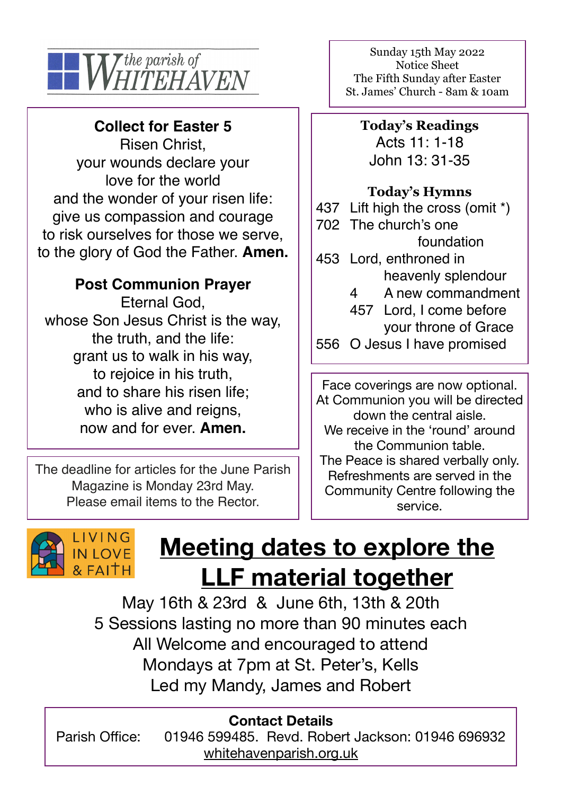

#### **Collect for Easter 5**

Risen Christ, your wounds declare your love for the world and the wonder of your risen life: give us compassion and courage to risk ourselves for those we serve, to the glory of God the Father. **Amen.** 

#### **Post Communion Prayer**

Eternal God, whose Son Jesus Christ is the way, the truth, and the life: grant us to walk in his way, to rejoice in his truth, and to share his risen life; who is alive and reigns, now and for ever. **Amen.**

The deadline for articles for the June Parish Magazine is Monday 23rd May. Please email items to the Rector.

Sunday 15th May 2022 Notice Sheet The Fifth Sunday after Easter St. James' Church - 8am & 10am

**Today's Readings** Acts 11: 1-18 John 13: 31-35

#### **Today's Hymns**

437 Lift high the cross (omit \*) 702 The church's one foundation 453 Lord, enthroned in heavenly splendour 4 A new commandment 457 Lord, I come before your throne of Grace 556 O Jesus I have promised

Face coverings are now optional. At Communion you will be directed down the central aisle. We receive in the 'round' around the Communion table. The Peace is shared verbally only. Refreshments are served in the Community Centre following the service.



# **Meeting dates to explore the LLF material together**

May 16th & 23rd & June 6th, 13th & 20th 5 Sessions lasting no more than 90 minutes each All Welcome and encouraged to attend Mondays at 7pm at St. Peter's, Kells Led my Mandy, James and Robert

#### **Contact Details**

Parish Office: 01946 599485. Revd. Robert Jackson: 01946 696932 [whitehavenparish.org.uk](http://whitehavenparish.org.uk)